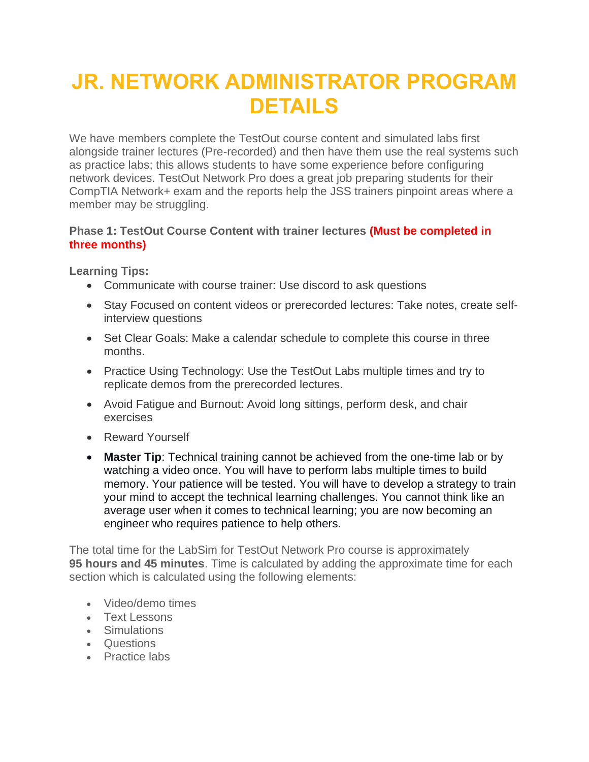# **JR. NETWORK ADMINISTRATOR PROGRAM DETAILS**

We have members complete the TestOut course content and simulated labs first alongside trainer lectures (Pre-recorded) and then have them use the real systems such as practice labs; this allows students to have some experience before configuring network devices. TestOut Network Pro does a great job preparing students for their CompTIA Network+ exam and the reports help the JSS trainers pinpoint areas where a member may be struggling.

### **Phase 1: TestOut Course Content with trainer lectures (Must be completed in three months)**

**Learning Tips:**

- Communicate with course trainer: Use discord to ask questions
- Stay Focused on content videos or prerecorded lectures: Take notes, create selfinterview questions
- Set Clear Goals: Make a calendar schedule to complete this course in three months.
- Practice Using Technology: Use the TestOut Labs multiple times and try to replicate demos from the prerecorded lectures.
- Avoid Fatigue and Burnout: Avoid long sittings, perform desk, and chair exercises
- Reward Yourself
- **Master Tip**: Technical training cannot be achieved from the one-time lab or by watching a video once. You will have to perform labs multiple times to build memory. Your patience will be tested. You will have to develop a strategy to train your mind to accept the technical learning challenges. You cannot think like an average user when it comes to technical learning; you are now becoming an engineer who requires patience to help others.

The total time for the LabSim for TestOut Network Pro course is approximately **95 hours and 45 minutes**. Time is calculated by adding the approximate time for each section which is calculated using the following elements:

- Video/demo times
- Text Lessons
- Simulations
- Questions
- Practice labs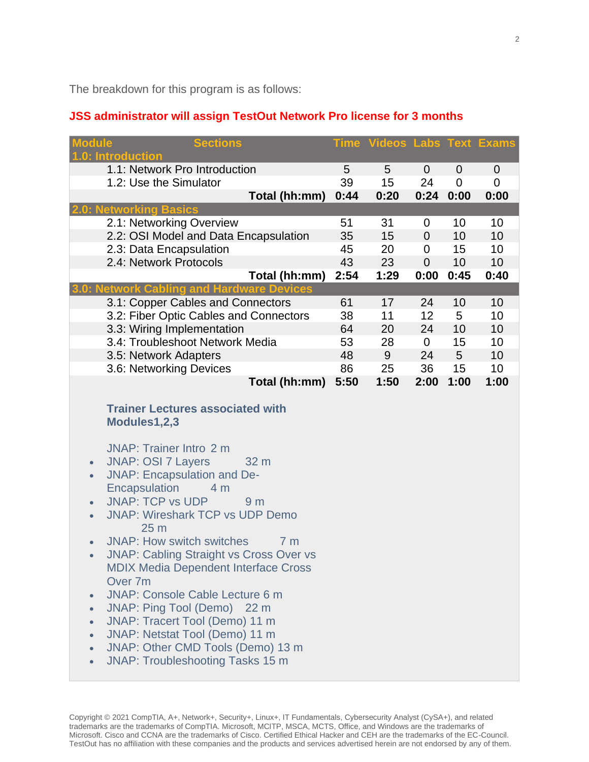The breakdown for this program is as follows:

## **JSS administrator will assign TestOut Network Pro license for 3 months**

| <b>Sections</b><br><b>lodule</b><br>.0: Introduction                                                                                                                                                                                                                                                                                                                                                                                                                                                                                                                                                                                                                                                                                                                                                                                                            |                 | <b>Time Videos Labs Text Exams</b> |                           |                                    |                |
|-----------------------------------------------------------------------------------------------------------------------------------------------------------------------------------------------------------------------------------------------------------------------------------------------------------------------------------------------------------------------------------------------------------------------------------------------------------------------------------------------------------------------------------------------------------------------------------------------------------------------------------------------------------------------------------------------------------------------------------------------------------------------------------------------------------------------------------------------------------------|-----------------|------------------------------------|---------------------------|------------------------------------|----------------|
| 1.1: Network Pro Introduction<br>1.2: Use the Simulator<br>Total (hh:mm)                                                                                                                                                                                                                                                                                                                                                                                                                                                                                                                                                                                                                                                                                                                                                                                        | 5<br>39<br>0:44 | 5<br>15<br>0:20                    | $\mathbf 0$<br>24<br>0:24 | $\mathbf 0$<br>$\mathbf 0$<br>0:00 | 0<br>0<br>0:00 |
| <b>etworking Basics</b><br>2.1: Networking Overview                                                                                                                                                                                                                                                                                                                                                                                                                                                                                                                                                                                                                                                                                                                                                                                                             | 51              | 31                                 | 0                         | 10                                 | 10             |
| 2.2: OSI Model and Data Encapsulation                                                                                                                                                                                                                                                                                                                                                                                                                                                                                                                                                                                                                                                                                                                                                                                                                           | 35              | 15                                 | $\mathbf 0$               | 10                                 | 10             |
| 2.3: Data Encapsulation                                                                                                                                                                                                                                                                                                                                                                                                                                                                                                                                                                                                                                                                                                                                                                                                                                         | 45              | 20                                 | $\mathbf 0$               | 15                                 | 10             |
| 2.4: Network Protocols<br>Total (hh:mm)                                                                                                                                                                                                                                                                                                                                                                                                                                                                                                                                                                                                                                                                                                                                                                                                                         | 43<br>2:54      | 23<br>1:29                         | $\mathbf 0$<br>0:00       | 10<br>0:45                         | 10<br>0:40     |
| <b>Network Cabling and Hardware Devices</b>                                                                                                                                                                                                                                                                                                                                                                                                                                                                                                                                                                                                                                                                                                                                                                                                                     |                 |                                    |                           |                                    |                |
| 3.1: Copper Cables and Connectors<br>3.2: Fiber Optic Cables and Connectors                                                                                                                                                                                                                                                                                                                                                                                                                                                                                                                                                                                                                                                                                                                                                                                     | 61<br>38        | 17<br>11                           | 24<br>12                  | 10<br>5                            | 10<br>10       |
| 3.3: Wiring Implementation                                                                                                                                                                                                                                                                                                                                                                                                                                                                                                                                                                                                                                                                                                                                                                                                                                      | 64              | 20                                 | 24                        | 10                                 | 10             |
| 3.4: Troubleshoot Network Media                                                                                                                                                                                                                                                                                                                                                                                                                                                                                                                                                                                                                                                                                                                                                                                                                                 | 53              | 28                                 | $\overline{0}$            | 15                                 | 10             |
| 3.5: Network Adapters                                                                                                                                                                                                                                                                                                                                                                                                                                                                                                                                                                                                                                                                                                                                                                                                                                           | 48              | 9                                  | 24                        | 5                                  | 10             |
| 3.6: Networking Devices<br>Total (hh:mm)                                                                                                                                                                                                                                                                                                                                                                                                                                                                                                                                                                                                                                                                                                                                                                                                                        | 86<br>5:50      | 25<br>1:50                         | 36<br>2:00                | 15<br>1:00                         | 10<br>1:00     |
| <b>Trainer Lectures associated with</b><br>Modules1,2,3<br><b>JNAP: Trainer Intro 2 m</b><br><b>JNAP: OSI 7 Layers</b><br>32 m<br>$\bullet$<br><b>JNAP: Encapsulation and De-</b><br>$\bullet$<br>Encapsulation<br>4 <sub>m</sub><br><b>JNAP: TCP vs UDP</b><br>9 <sub>m</sub><br>$\bullet$<br><b>JNAP: Wireshark TCP vs UDP Demo</b><br>$\bullet$<br>25 <sub>m</sub><br><b>JNAP: How switch switches</b><br>7 <sub>m</sub><br>$\bullet$<br><b>JNAP: Cabling Straight vs Cross Over vs</b><br>$\bullet$<br><b>MDIX Media Dependent Interface Cross</b><br>Over 7m<br><b>JNAP: Console Cable Lecture 6 m</b><br>$\bullet$<br>JNAP: Ping Tool (Demo) 22 m<br>$\bullet$<br>JNAP: Tracert Tool (Demo) 11 m<br>$\bullet$<br>JNAP: Netstat Tool (Demo) 11 m<br>$\bullet$<br>JNAP: Other CMD Tools (Demo) 13 m<br>$\bullet$<br><b>JNAP: Troubleshooting Tasks 15 m</b> |                 |                                    |                           |                                    |                |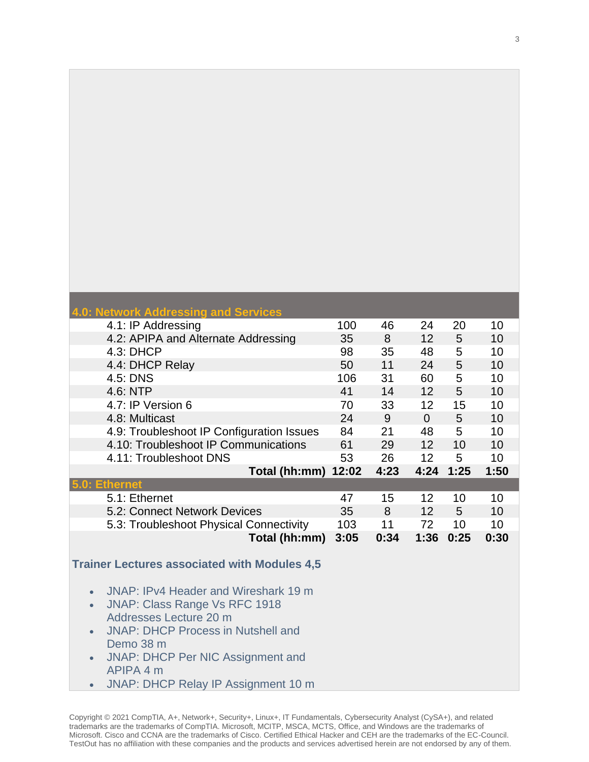| <b>Network Addressing and Services</b>                |      |      |                 |                |      |
|-------------------------------------------------------|------|------|-----------------|----------------|------|
| 4.1: IP Addressing                                    | 100  | 46   | 24              | 20             | 10   |
| 4.2: APIPA and Alternate Addressing                   | 35   | 8    | 12              | 5              | 10   |
| 4.3: DHCP                                             | 98   | 35   | 48              | 5              | 10   |
| 4.4: DHCP Relay                                       | 50   | 11   | 24              | 5              | 10   |
| 4.5: DNS                                              | 106  | 31   | 60              | 5              | 10   |
| 4.6: NTP                                              | 41   | 14   | 12              | 5              | 10   |
| 4.7: IP Version 6                                     | 70   | 33   | 12              | 15             | 10   |
| 4.8: Multicast                                        | 24   | 9    | $\overline{0}$  | 5              | 10   |
| 4.9: Troubleshoot IP Configuration Issues             | 84   | 21   | 48              | 5              | 10   |
| 4.10: Troubleshoot IP Communications                  | 61   | 29   | 12              | 10             | 10   |
| 4.11: Troubleshoot DNS                                | 53   | 26   | 12 <sub>2</sub> | 5              | 10   |
| <b>Total (hh:mm) 12:02</b>                            |      | 4:23 | 4:24            | 1:25           | 1:50 |
| <b>Ethernet</b>                                       |      |      |                 |                |      |
| 5.1: Ethernet                                         | 47   | 15   | 12              | 10             | 10   |
| 5.2: Connect Network Devices                          | 35   | 8    | 12              | $5\phantom{.}$ | 10   |
| 5.3: Troubleshoot Physical Connectivity               | 103  | 11   | 72              | 10             | 10   |
| Total (hh:mm)                                         | 3:05 | 0:34 | 1:36            | 0:25           | 0:30 |
|                                                       |      |      |                 |                |      |
| <b>Trainer Lectures associated with Modules 4,5</b>   |      |      |                 |                |      |
|                                                       |      |      |                 |                |      |
| JNAP: IPv4 Header and Wireshark 19 m<br>$\bullet$     |      |      |                 |                |      |
| <b>JNAP: Class Range Vs RFC 1918</b><br>$\bullet$     |      |      |                 |                |      |
| Addresses Lecture 20 m                                |      |      |                 |                |      |
| <b>JNAP: DHCP Process in Nutshell and</b>             |      |      |                 |                |      |
| Demo 38 m                                             |      |      |                 |                |      |
| <b>JNAP: DHCP Per NIC Assignment and</b><br>$\bullet$ |      |      |                 |                |      |
| APIPA 4 m                                             |      |      |                 |                |      |
| JNAP: DHCP Relay IP Assignment 10 m<br>$\bullet$      |      |      |                 |                |      |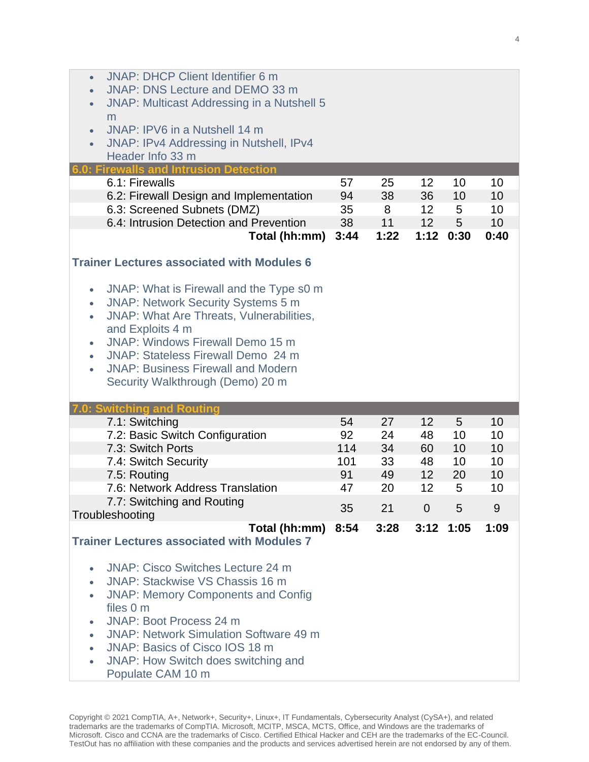| <b>JNAP: DHCP Client Identifier 6 m</b><br>$\bullet$<br>JNAP: DNS Lecture and DEMO 33 m<br>$\bullet$<br><b>JNAP: Multicast Addressing in a Nutshell 5</b><br>$\bullet$<br>m<br>JNAP: IPV6 in a Nutshell 14 m<br>$\bullet$<br>JNAP: IPv4 Addressing in Nutshell, IPv4<br>$\bullet$<br>Header Info 33 m<br><b>Firewalls and Intrusion Detection</b><br>6.1: Firewalls                                   | 57   | 25   | $12 \overline{ }$ | 10              | 10   |
|-------------------------------------------------------------------------------------------------------------------------------------------------------------------------------------------------------------------------------------------------------------------------------------------------------------------------------------------------------------------------------------------------------|------|------|-------------------|-----------------|------|
| 6.2: Firewall Design and Implementation                                                                                                                                                                                                                                                                                                                                                               | 94   | 38   | 36                | 10              | 10   |
| 6.3: Screened Subnets (DMZ)                                                                                                                                                                                                                                                                                                                                                                           | 35   | 8    | 12                | 5               | 10   |
| 6.4: Intrusion Detection and Prevention                                                                                                                                                                                                                                                                                                                                                               | 38   | 11   | 12                | $5\overline{)}$ | 10   |
| Total (hh:mm)                                                                                                                                                                                                                                                                                                                                                                                         | 3:44 | 1:22 | 1:12              | 0:30            | 0:40 |
| <b>Trainer Lectures associated with Modules 6</b>                                                                                                                                                                                                                                                                                                                                                     |      |      |                   |                 |      |
| JNAP: What is Firewall and the Type s0 m<br>$\bullet$<br><b>JNAP: Network Security Systems 5 m</b><br>$\bullet$<br><b>JNAP: What Are Threats, Vulnerabilities,</b><br>$\bullet$<br>and Exploits 4 m<br>JNAP: Windows Firewall Demo 15 m<br>$\bullet$<br>JNAP: Stateless Firewall Demo 24 m<br>$\bullet$<br><b>JNAP: Business Firewall and Modern</b><br>$\bullet$<br>Security Walkthrough (Demo) 20 m |      |      |                   |                 |      |
|                                                                                                                                                                                                                                                                                                                                                                                                       |      |      |                   |                 |      |
| <b>Switching and Routing</b><br>7.1: Switching                                                                                                                                                                                                                                                                                                                                                        | 54   | 27   | 12                | 5               | 10   |
| 7.2: Basic Switch Configuration                                                                                                                                                                                                                                                                                                                                                                       | 92   | 24   | 48                | 10              | 10   |
| 7.3: Switch Ports                                                                                                                                                                                                                                                                                                                                                                                     | 114  | 34   | 60                | 10              | 10   |
| 7.4: Switch Security                                                                                                                                                                                                                                                                                                                                                                                  | 101  | 33   | 48                | 10              | 10   |
| 7.5: Routing                                                                                                                                                                                                                                                                                                                                                                                          | 91   | 49   | 12                | 20              | 10   |
| 7.6: Network Address Translation                                                                                                                                                                                                                                                                                                                                                                      | 47   | 20   | 12                | 5               | 10   |
| 7.7: Switching and Routing<br>Troubleshooting                                                                                                                                                                                                                                                                                                                                                         | 35   | 21   | $\Omega$          | 5               | 9    |
| Total (hh:mm)<br><b>Trainer Lectures associated with Modules 7</b>                                                                                                                                                                                                                                                                                                                                    | 8:54 | 3:28 |                   | $3:12$ 1:05     | 1:09 |
| <b>JNAP: Cisco Switches Lecture 24 m</b><br>$\bullet$<br>JNAP: Stackwise VS Chassis 16 m<br>$\bullet$<br><b>JNAP: Memory Components and Config</b><br>$\bullet$<br>files 0 m<br>JNAP: Boot Process 24 m<br><b>JNAP: Network Simulation Software 49 m</b><br>$\bullet$<br>JNAP: Basics of Cisco IOS 18 m<br>$\bullet$<br>JNAP: How Switch does switching and<br>$\bullet$<br>Populate CAM 10 m         |      |      |                   |                 |      |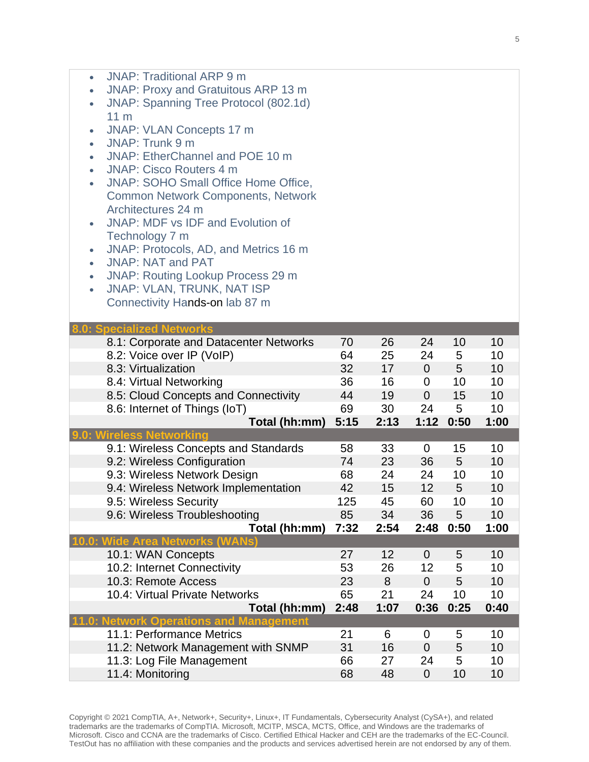| <b>JNAP: Traditional ARP 9 m</b><br>$\bullet$                         |          |          |                   |         |          |
|-----------------------------------------------------------------------|----------|----------|-------------------|---------|----------|
| JNAP: Proxy and Gratuitous ARP 13 m<br>$\bullet$                      |          |          |                   |         |          |
| JNAP: Spanning Tree Protocol (802.1d)<br>$\bullet$                    |          |          |                   |         |          |
| 11 <sub>m</sub>                                                       |          |          |                   |         |          |
| <b>JNAP: VLAN Concepts 17 m</b><br>$\bullet$                          |          |          |                   |         |          |
| JNAP: Trunk 9 m<br>$\bullet$                                          |          |          |                   |         |          |
| JNAP: EtherChannel and POE 10 m<br>$\bullet$                          |          |          |                   |         |          |
| <b>JNAP: Cisco Routers 4 m</b><br>$\bullet$                           |          |          |                   |         |          |
| <b>JNAP: SOHO Small Office Home Office,</b><br>$\bullet$              |          |          |                   |         |          |
| <b>Common Network Components, Network</b>                             |          |          |                   |         |          |
| Architectures 24 m                                                    |          |          |                   |         |          |
| <b>JNAP: MDF vs IDF and Evolution of</b><br>$\bullet$                 |          |          |                   |         |          |
| Technology 7 m                                                        |          |          |                   |         |          |
| JNAP: Protocols, AD, and Metrics 16 m<br>$\bullet$                    |          |          |                   |         |          |
| <b>JNAP: NAT and PAT</b><br>$\bullet$                                 |          |          |                   |         |          |
| <b>JNAP: Routing Lookup Process 29 m</b><br>$\bullet$                 |          |          |                   |         |          |
| <b>JNAP: VLAN, TRUNK, NAT ISP</b><br>$\bullet$                        |          |          |                   |         |          |
| Connectivity Hands-on lab 87 m                                        |          |          |                   |         |          |
|                                                                       |          |          |                   |         |          |
| <b>Specialized Networks</b><br>8.1: Corporate and Datacenter Networks | 70       | 26       | 24                | 10      | 10       |
| 8.2: Voice over IP (VoIP)                                             | 64       | 25       | 24                | 5       | 10       |
| 8.3: Virtualization                                                   | 32       | 17       | $\overline{0}$    | 5       | 10       |
| 8.4: Virtual Networking                                               | 36       | 16       | 0                 | 10      | 10       |
| 8.5: Cloud Concepts and Connectivity                                  | 44       | 19       | $\overline{0}$    | 15      | 10       |
| 8.6: Internet of Things (IoT)                                         | 69       | 30       | 24                | 5       | 10       |
| Total (hh:mm)                                                         | 5:15     | 2:13     | 1:12              | 0:50    | 1:00     |
| ireless Networking                                                    |          |          |                   |         |          |
| 9.1: Wireless Concepts and Standards                                  | 58       | 33       | 0                 | 15      | 10       |
| 9.2: Wireless Configuration                                           | 74       | 23       | 36                | 5       | 10       |
| 9.3: Wireless Network Design                                          | 68       | 24       | 24                | 10      | 10       |
| 9.4: Wireless Network Implementation                                  | 42       | 15       | 12                | 5       | 10       |
| 9.5: Wireless Security                                                | 125      | 45       | 60                | 10      | 10       |
| 9.6: Wireless Troubleshooting                                         | 85       | 34       | 36                | 5       | 10       |
| Total (hh:mm)                                                         | 7:32     | 2:54     | 2:48              | 0:50    | 1:00     |
| <b>TOTA</b>                                                           |          |          |                   |         |          |
| 10.1: WAN Concepts                                                    | 27       | 12       | $\Omega$          | 5       | 10       |
| 10.2: Internet Connectivity                                           | 53       | 26       | 12                | 5       | 10       |
| 10.3: Remote Access                                                   | 23       | 8        | $\overline{0}$    | 5       | 10       |
| 10.4: Virtual Private Networks                                        | 65       | 21       | 24                | 10      | 10       |
| Total (hh:mm)                                                         | 2:48     | 1:07     | 0:36              | 0:25    | 0:40     |
| letwork Operations<br>anagement<br>11.1: Performance Metrics          | 21       | 6        | $\overline{0}$    | 5       | 10       |
| 11.2: Network Management with SNMP                                    | 31       | 16       | $\overline{0}$    | 5       | 10       |
|                                                                       |          |          |                   |         |          |
|                                                                       |          |          |                   |         |          |
| 11.3: Log File Management<br>11.4: Monitoring                         | 66<br>68 | 27<br>48 | 24<br>$\mathbf 0$ | 5<br>10 | 10<br>10 |

Copyright © 2021 CompTIA, A+, Network+, Security+, Linux+, IT Fundamentals, Cybersecurity Analyst (CySA+), and related trademarks are the trademarks of CompTIA. Microsoft, MCITP, MSCA, MCTS, Office, and Windows are the trademarks of Microsoft. Cisco and CCNA are the trademarks of Cisco. Certified Ethical Hacker and CEH are the trademarks of the EC-Council. TestOut has no affiliation with these companies and the products and services advertised herein are not endorsed by any of them.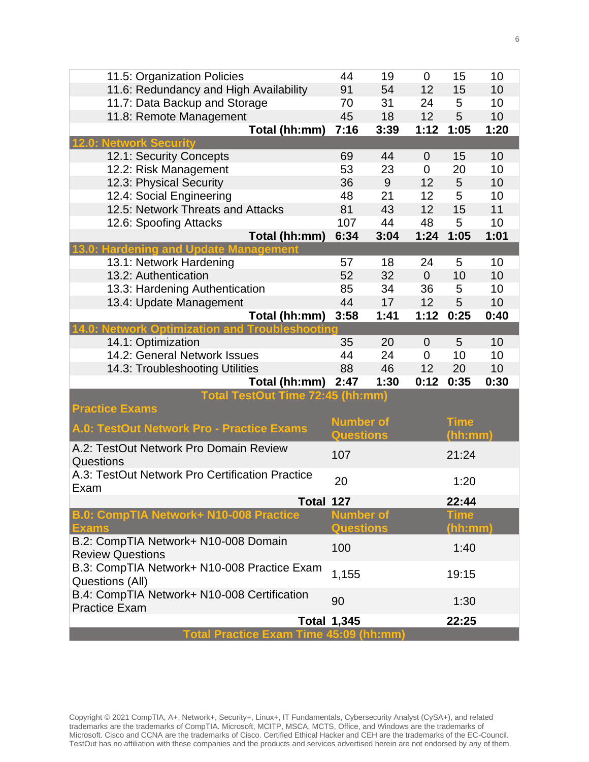| 11.5: Organization Policies                             | 44                 | 19   | $\Omega$       | 15          | 10   |  |  |  |  |  |
|---------------------------------------------------------|--------------------|------|----------------|-------------|------|--|--|--|--|--|
| 11.6: Redundancy and High Availability                  | 91                 | 54   | 12             | 15          | 10   |  |  |  |  |  |
| 11.7: Data Backup and Storage                           | 70                 | 31   | 24             | 5           | 10   |  |  |  |  |  |
| 11.8: Remote Management                                 | 45                 | 18   | 12             | 5           | 10   |  |  |  |  |  |
| Total (hh:mm)                                           | 7:16               | 3:39 | 1:12           | 1:05        | 1:20 |  |  |  |  |  |
| <b>Network Security</b>                                 |                    |      |                |             |      |  |  |  |  |  |
| 12.1: Security Concepts                                 | 69                 | 44   | $\Omega$       | 15          | 10   |  |  |  |  |  |
| 12.2: Risk Management                                   | 53                 | 23   | $\mathbf 0$    | 20          | 10   |  |  |  |  |  |
| 12.3: Physical Security                                 | 36                 | 9    | 12             | 5           | 10   |  |  |  |  |  |
| 12.4: Social Engineering                                | 48                 | 21   | 12             | 5           | 10   |  |  |  |  |  |
| 12.5: Network Threats and Attacks                       | 81                 | 43   | 12             | 15          | 11   |  |  |  |  |  |
| 12.6: Spoofing Attacks                                  | 107                | 44   | 48             | 5           | 10   |  |  |  |  |  |
| Total (hh:mm)                                           | 6:34               | 3:04 | 1:24           | 1:05        | 1:01 |  |  |  |  |  |
| nagement<br><b>Hardening and Update</b>                 |                    |      |                |             |      |  |  |  |  |  |
| 13.1: Network Hardening                                 | 57                 | 18   | 24             | 5           | 10   |  |  |  |  |  |
| 13.2: Authentication                                    | 52                 | 32   | $\overline{0}$ | 10          | 10   |  |  |  |  |  |
| 13.3: Hardening Authentication                          | 85                 | 34   | 36             | 5           | 10   |  |  |  |  |  |
| 13.4: Update Management                                 | 44                 | 17   | 12             | 5           | 10   |  |  |  |  |  |
| Total (hh:mm)                                           | 3:58               | 1:41 | 1:12           | 0:25        | 0:40 |  |  |  |  |  |
| <b>Network Optimization and Troubleshooting</b>         |                    |      |                |             |      |  |  |  |  |  |
| 14.1: Optimization                                      | 35                 | 20   | 0              | 5           | 10   |  |  |  |  |  |
| 14.2: General Network Issues                            | 44                 | 24   | $\mathbf 0$    | 10          | 10   |  |  |  |  |  |
| 14.3: Troubleshooting Utilities                         | 88                 | 46   | 12             | 20          | 10   |  |  |  |  |  |
| Total (hh:mm)                                           | 2:47               | 1:30 | 0:12           | 0:35        | 0:30 |  |  |  |  |  |
| Total TestOut Time 72:45 (hh:mm)                        |                    |      |                |             |      |  |  |  |  |  |
| <b>Practice Exams</b>                                   |                    |      |                |             |      |  |  |  |  |  |
| <b>A.0: TestOut Network Pro - Practice Exams</b>        | <b>Number of</b>   |      |                | <b>Time</b> |      |  |  |  |  |  |
|                                                         | <b>Questions</b>   |      |                | (hh:mm)     |      |  |  |  |  |  |
| A.2: TestOut Network Pro Domain Review                  | 107                |      |                | 21:24       |      |  |  |  |  |  |
| Questions                                               |                    |      |                |             |      |  |  |  |  |  |
| A.3: TestOut Network Pro Certification Practice<br>Exam | 20                 |      |                | 1:20        |      |  |  |  |  |  |
| Total 127                                               |                    |      |                | 22:44       |      |  |  |  |  |  |
| B.0: CompTIA Network+ N10-008 Practice                  | <b>Number of</b>   |      |                | <b>Time</b> |      |  |  |  |  |  |
| <b>Exams</b>                                            | <b>Questions</b>   |      |                | (hh:mm)     |      |  |  |  |  |  |
| B.2: CompTIA Network+ N10-008 Domain                    |                    |      |                |             |      |  |  |  |  |  |
| <b>Review Questions</b>                                 | 100                |      |                | 1:40        |      |  |  |  |  |  |
| B.3: CompTIA Network+ N10-008 Practice Exam             | 1,155              |      |                | 19:15       |      |  |  |  |  |  |
| Questions (All)                                         |                    |      |                |             |      |  |  |  |  |  |
| B.4: CompTIA Network+ N10-008 Certification             | 90                 |      |                | 1:30        |      |  |  |  |  |  |
| <b>Practice Exam</b>                                    |                    |      |                |             |      |  |  |  |  |  |
|                                                         | <b>Total 1,345</b> |      |                | 22:25       |      |  |  |  |  |  |
| Total Practice Exam Time 45:09 (hh:mm)                  |                    |      |                |             |      |  |  |  |  |  |

Copyright © 2021 CompTIA, A+, Network+, Security+, Linux+, IT Fundamentals, Cybersecurity Analyst (CySA+), and related trademarks are the trademarks of CompTIA. Microsoft, MCITP, MSCA, MCTS, Office, and Windows are the trademarks of Microsoft. Cisco and CCNA are the trademarks of Cisco. Certified Ethical Hacker and CEH are the trademarks of the EC-Council. TestOut has no affiliation with these companies and the products and services advertised herein are not endorsed by any of them.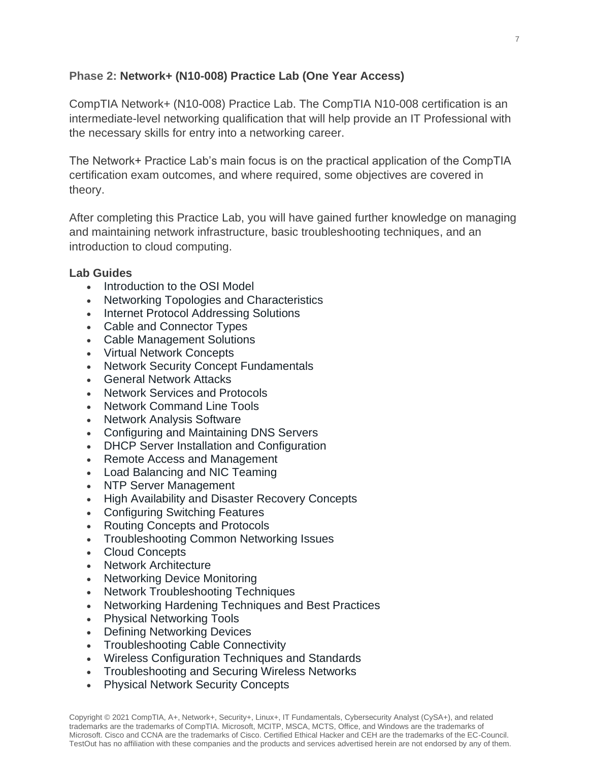# **Phase 2: Network+ (N10-008) Practice Lab (One Year Access)**

CompTIA Network+ (N10-008) Practice Lab. The CompTIA N10-008 certification is an intermediate-level networking qualification that will help provide an IT Professional with the necessary skills for entry into a networking career.

The Network+ Practice Lab's main focus is on the practical application of the CompTIA certification exam outcomes, and where required, some objectives are covered in theory.

After completing this Practice Lab, you will have gained further knowledge on managing and maintaining network infrastructure, basic troubleshooting techniques, and an introduction to cloud computing.

### **Lab Guides**

- [Introduction to the OSI Model](https://www.practice-labs.com/authenticated/vNext/vn-content.aspx)
- [Networking Topologies and Characteristics](https://www.practice-labs.com/authenticated/vNext/vn-content.aspx)
- [Internet Protocol Addressing Solutions](https://www.practice-labs.com/authenticated/vNext/vn-content.aspx)
- [Cable and Connector Types](https://www.practice-labs.com/authenticated/vNext/vn-content.aspx)
- [Cable Management Solutions](https://www.practice-labs.com/authenticated/vNext/vn-content.aspx)
- [Virtual Network Concepts](https://www.practice-labs.com/authenticated/vNext/vn-content.aspx)
- [Network Security Concept Fundamentals](https://www.practice-labs.com/authenticated/vNext/vn-content.aspx)
- [General Network Attacks](https://www.practice-labs.com/authenticated/vNext/vn-content.aspx)
- [Network Services and Protocols](https://www.practice-labs.com/authenticated/vNext/vn-content.aspx)
- [Network Command Line Tools](https://www.practice-labs.com/authenticated/vNext/vn-content.aspx)
- [Network Analysis Software](https://www.practice-labs.com/authenticated/vNext/vn-content.aspx)
- [Configuring and Maintaining DNS Servers](https://www.practice-labs.com/authenticated/vNext/vn-content.aspx)
- [DHCP Server Installation and Configuration](https://www.practice-labs.com/authenticated/vNext/vn-content.aspx)
- [Remote Access and Management](https://www.practice-labs.com/authenticated/vNext/vn-content.aspx)
- [Load Balancing and NIC Teaming](https://www.practice-labs.com/authenticated/vNext/vn-content.aspx)
- [NTP Server Management](https://www.practice-labs.com/authenticated/vNext/vn-content.aspx)
- [High Availability and Disaster Recovery Concepts](https://www.practice-labs.com/authenticated/vNext/vn-content.aspx)
- [Configuring Switching Features](https://www.practice-labs.com/authenticated/vNext/vn-content.aspx)
- [Routing Concepts and Protocols](https://www.practice-labs.com/authenticated/vNext/vn-content.aspx)
- [Troubleshooting Common Networking Issues](https://www.practice-labs.com/authenticated/vNext/vn-content.aspx)
- [Cloud Concepts](https://www.practice-labs.com/authenticated/vNext/vn-content.aspx)
- [Network Architecture](https://www.practice-labs.com/authenticated/vNext/vn-content.aspx)
- [Networking Device Monitoring](https://www.practice-labs.com/authenticated/vNext/vn-content.aspx)
- [Network Troubleshooting Techniques](https://www.practice-labs.com/authenticated/vNext/vn-content.aspx)
- [Networking Hardening Techniques and Best Practices](https://www.practice-labs.com/authenticated/vNext/vn-content.aspx)
- [Physical Networking Tools](https://www.practice-labs.com/authenticated/vNext/vn-content.aspx)
- [Defining Networking Devices](https://www.practice-labs.com/authenticated/vNext/vn-content.aspx)
- [Troubleshooting Cable Connectivity](https://www.practice-labs.com/authenticated/vNext/vn-content.aspx)
- [Wireless Configuration Techniques and Standards](https://www.practice-labs.com/authenticated/vNext/vn-content.aspx)
- [Troubleshooting and Securing Wireless Networks](https://www.practice-labs.com/authenticated/vNext/vn-content.aspx)
- [Physical Network Security Concepts](https://www.practice-labs.com/authenticated/vNext/vn-content.aspx)